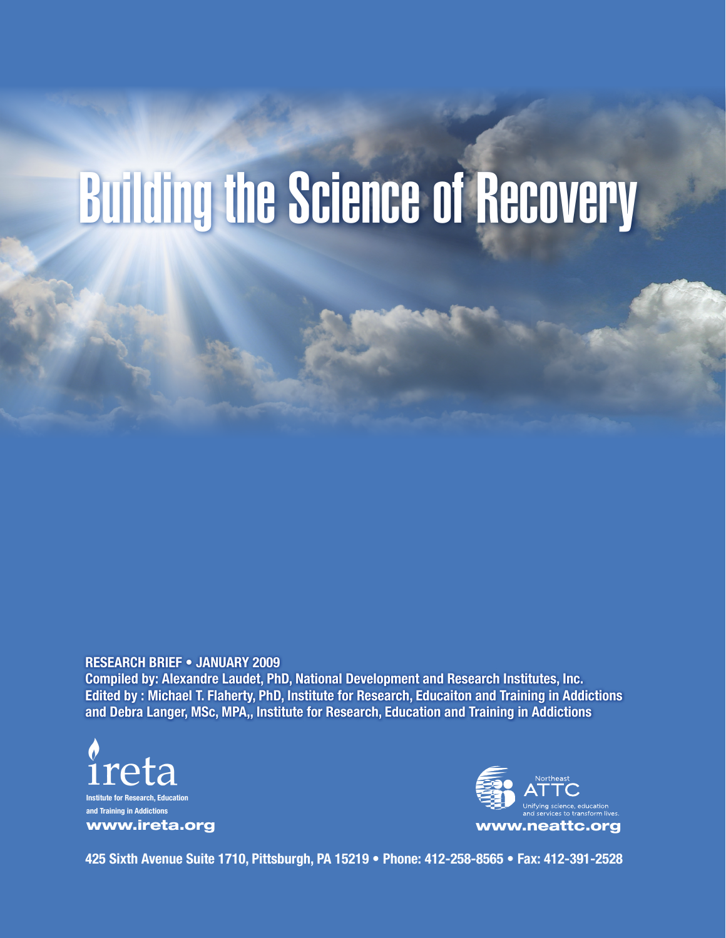# Building the Science of Recovery

**RESEARCH BRIEF • JANUARY 2009**

**Compiled by: Alexandre Laudet, PhD, National Development and Research Institutes, Inc. Edited by : Michael T. Flaherty, PhD, Institute for Research, Educaiton and Training in Addictions and Debra Langer, MSc, MPA,, Institute for Research, Education and Training in Addictions**





**425 Sixth Avenue Suite 1710, Pittsburgh, PA 15219 • Phone: 412-258-8565 • Fax: 412-391-2528**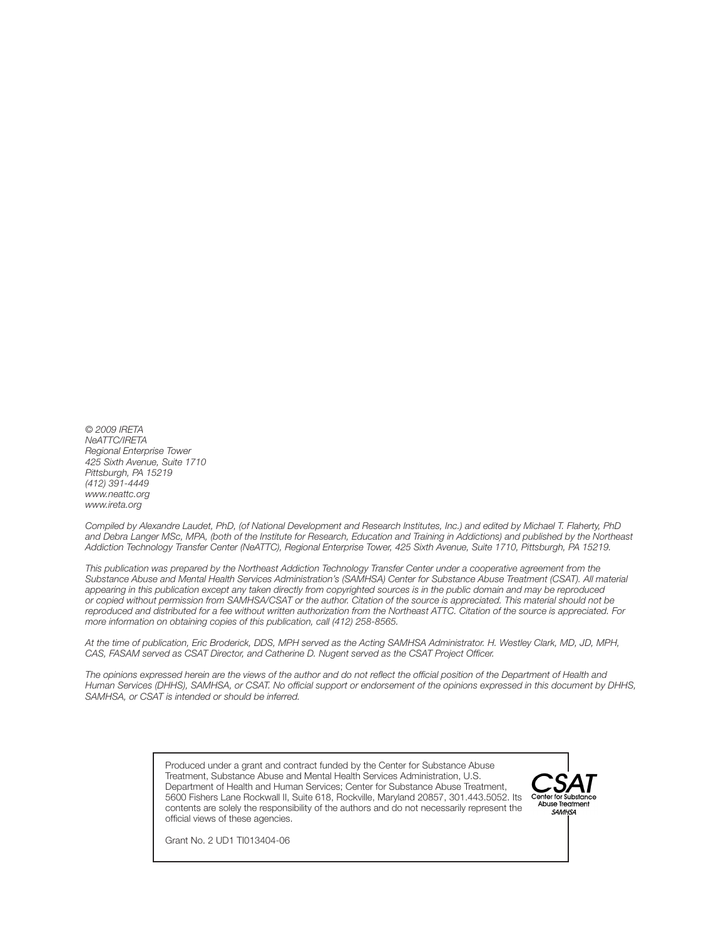*© 2009 IRETA NeATTC/IRETA Regional Enterprise Tower 425 Sixth Avenue, Suite 1710 Pittsburgh, PA 15219 (412) 391-4449 www.neattc.org www.ireta.org*

*Compiled by Alexandre Laudet, PhD, (of National Development and Research Institutes, Inc.) and edited by Michael T. Flaherty, PhD and Debra Langer MSc, MPA, (both of the Institute for Research, Education and Training in Addictions) and published by the Northeast Addiction Technology Transfer Center (NeATTC), Regional Enterprise Tower, 425 Sixth Avenue, Suite 1710, Pittsburgh, PA 15219.*

*This publication was prepared by the Northeast Addiction Technology Transfer Center under a cooperative agreement from the Substance Abuse and Mental Health Services Administration's (SAMHSA) Center for Substance Abuse Treatment (CSAT). All material appearing in this publication except any taken directly from copyrighted sources is in the public domain and may be reproduced or copied without permission from SAMHSA/CSAT or the author. Citation of the source is appreciated. This material should not be reproduced and distributed for a fee without written authorization from the Northeast ATTC. Citation of the source is appreciated. For more information on obtaining copies of this publication, call (412) 258-8565.*

*At the time of publication, Eric Broderick, DDS, MPH served as the Acting SAMHSA Administrator. H. Westley Clark, MD, JD, MPH, CAS, FASAM served as CSAT Director, and Catherine D. Nugent served as the CSAT Project Officer.*

*The opinions expressed herein are the views of the author and do not reflect the official position of the Department of Health and Human Services (DHHS), SAMHSA, or CSAT. No official support or endorsement of the opinions expressed in this document by DHHS, SAMHSA, or CSAT is intended or should be inferred.* 

> Produced under a grant and contract funded by the Center for Substance Abuse Treatment, Substance Abuse and Mental Health Services Administration, U.S. Department of Health and Human Services; Center for Substance Abuse Treatment, 5600 Fishers Lane Rockwall II, Suite 618, Rockville, Maryland 20857, 301.443.5052. Its contents are solely the responsibility of the authors and do not necessarily represent the official views of these agencies.



Grant No. 2 UD1 TI013404-06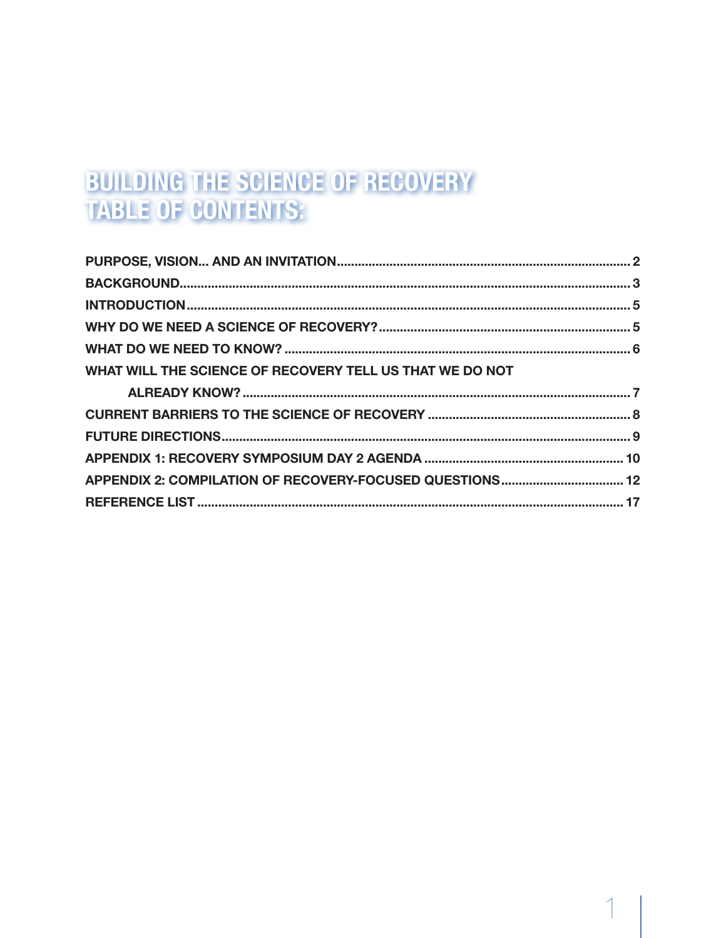# BUILDING THE SCIENCE OF RECOVERY **TABLE OF CONTENTS:**

| WHAT WILL THE SCIENCE OF RECOVERY TELL US THAT WE DO NOT |  |
|----------------------------------------------------------|--|
|                                                          |  |
|                                                          |  |
|                                                          |  |
|                                                          |  |
|                                                          |  |
| APPENDIX 2: COMPILATION OF RECOVERY-FOCUSED QUESTIONS 12 |  |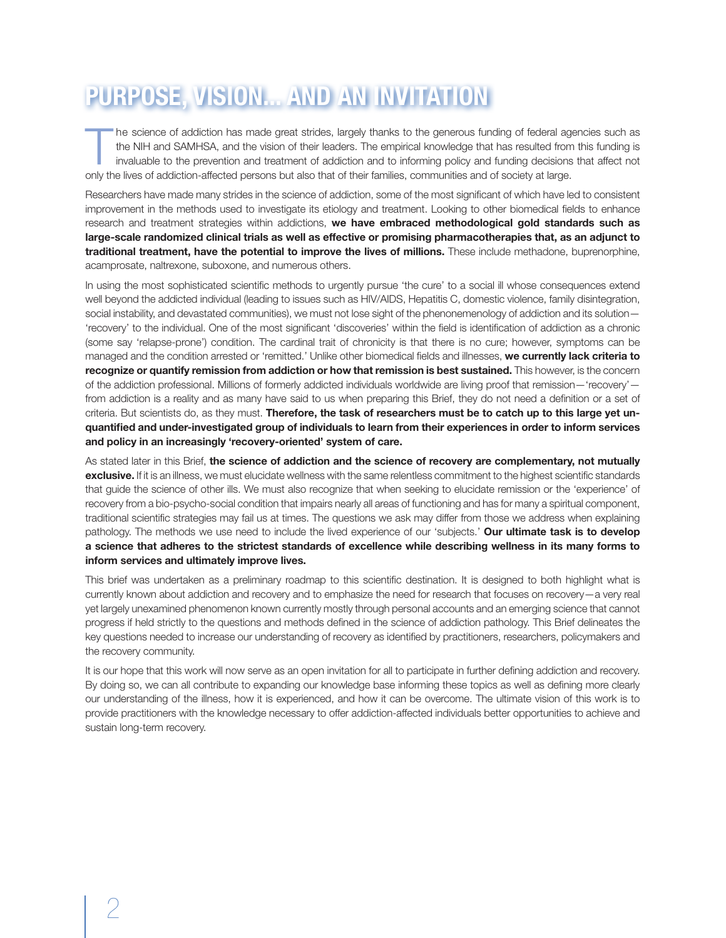# **PURPOSE, VISION... AND AN INVITATION**

The science of addiction has made great strides, largely thanks to the generous funding of federal agencies such as<br>the NIH and SAMHSA, and the vision of their leaders. The empirical knowledge that has resulted from this f the NIH and SAMHSA, and the vision of their leaders. The empirical knowledge that has resulted from this funding is only the lives of addiction-affected persons but also that of their families, communities and of society at large.

Researchers have made many strides in the science of addiction, some of the most significant of which have led to consistent improvement in the methods used to investigate its etiology and treatment. Looking to other biomedical fields to enhance research and treatment strategies within addictions, **we have embraced methodological gold standards such as large-scale randomized clinical trials as well as effective or promising pharmacotherapies that, as an adjunct to traditional treatment, have the potential to improve the lives of millions.** These include methadone, buprenorphine, acamprosate, naltrexone, suboxone, and numerous others.

In using the most sophisticated scientific methods to urgently pursue 'the cure' to a social ill whose consequences extend well beyond the addicted individual (leading to issues such as HIV/AIDS, Hepatitis C, domestic violence, family disintegration, social instability, and devastated communities), we must not lose sight of the phenonemenology of addiction and its solution -'recovery' to the individual. One of the most significant 'discoveries' within the field is identification of addiction as a chronic (some say 'relapse-prone') condition. The cardinal trait of chronicity is that there is no cure; however, symptoms can be managed and the condition arrested or 'remitted.' Unlike other biomedical fields and illnesses, **we currently lack criteria to recognize or quantify remission from addiction or how that remission is best sustained.** This however, is the concern of the addiction professional. Millions of formerly addicted individuals worldwide are living proof that remission—'recovery' from addiction is a reality and as many have said to us when preparing this Brief, they do not need a definition or a set of criteria. But scientists do, as they must. **Therefore, the task of researchers must be to catch up to this large yet unquantified and under-investigated group of individuals to learn from their experiences in order to inform services and policy in an increasingly 'recovery-oriented' system of care.** 

As stated later in this Brief, **the science of addiction and the science of recovery are complementary, not mutually exclusive.** If it is an illness, we must elucidate wellness with the same relentless commitment to the highest scientific standards that guide the science of other ills. We must also recognize that when seeking to elucidate remission or the 'experience' of recovery from a bio-psycho-social condition that impairs nearly all areas of functioning and has for many a spiritual component, traditional scientific strategies may fail us at times. The questions we ask may differ from those we address when explaining pathology. The methods we use need to include the lived experience of our 'subjects.' **Our ultimate task is to develop a science that adheres to the strictest standards of excellence while describing wellness in its many forms to inform services and ultimately improve lives.** 

This brief was undertaken as a preliminary roadmap to this scientific destination. It is designed to both highlight what is currently known about addiction and recovery and to emphasize the need for research that focuses on recovery—a very real yet largely unexamined phenomenon known currently mostly through personal accounts and an emerging science that cannot progress if held strictly to the questions and methods defined in the science of addiction pathology. This Brief delineates the key questions needed to increase our understanding of recovery as identified by practitioners, researchers, policymakers and the recovery community.

It is our hope that this work will now serve as an open invitation for all to participate in further defining addiction and recovery. By doing so, we can all contribute to expanding our knowledge base informing these topics as well as defining more clearly our understanding of the illness, how it is experienced, and how it can be overcome. The ultimate vision of this work is to provide practitioners with the knowledge necessary to offer addiction-affected individuals better opportunities to achieve and sustain long-term recovery.

2 a *3*  $\overline{a}$  3  $\overline{b}$  3  $\overline{a}$  3  $\overline{a}$  3  $\overline{a}$  3  $\overline{a}$  3  $\overline{a}$  3  $\overline{a}$  3  $\overline{a}$  3  $\overline{a}$  3  $\overline{a}$  3  $\overline{a}$  3  $\overline{a}$  3  $\overline{a}$  3  $\overline{a}$  3  $\overline{a}$  3  $\overline{a}$  3  $\overline{a}$  3  $\overline{a}$  3  $\overline{$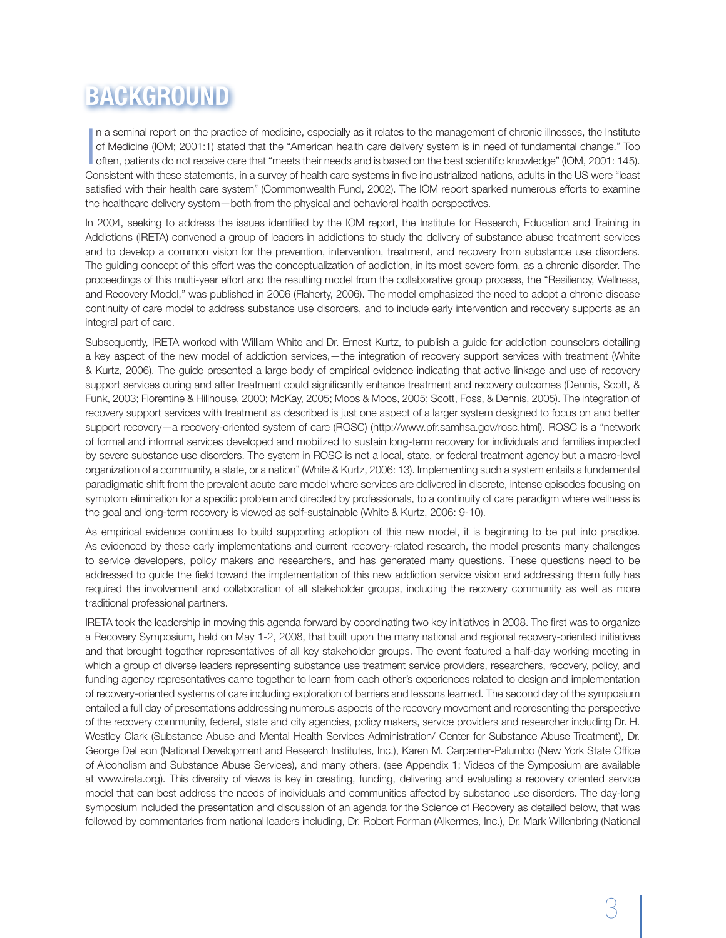# **BACKGROUND**

In a seminal report on the practice of medicine, especially as it relates to the management of chronic illnesses, the Institute of Medicine (IOM; 2001:1) stated that the "American health care delivery system is in need of of Medicine (IOM; 2001:1) stated that the "American health care delivery system is in need of fundamental change." Too often, patients do not receive care that "meets their needs and is based on the best scientific knowledge" (IOM, 2001: 145). Consistent with these statements, in a survey of health care systems in five industrialized nations, adults in the US were "least satisfied with their health care system" (Commonwealth Fund, 2002). The IOM report sparked numerous efforts to examine the healthcare delivery system—both from the physical and behavioral health perspectives.

In 2004, seeking to address the issues identified by the IOM report, the Institute for Research, Education and Training in Addictions (IRETA) convened a group of leaders in addictions to study the delivery of substance abuse treatment services and to develop a common vision for the prevention, intervention, treatment, and recovery from substance use disorders. The guiding concept of this effort was the conceptualization of addiction, in its most severe form, as a chronic disorder. The proceedings of this multi-year effort and the resulting model from the collaborative group process, the "Resiliency, Wellness, and Recovery Model," was published in 2006 (Flaherty, 2006). The model emphasized the need to adopt a chronic disease continuity of care model to address substance use disorders, and to include early intervention and recovery supports as an integral part of care.

Subsequently, IRETA worked with William White and Dr. Ernest Kurtz, to publish a guide for addiction counselors detailing a key aspect of the new model of addiction services,—the integration of recovery support services with treatment (White & Kurtz, 2006). The guide presented a large body of empirical evidence indicating that active linkage and use of recovery support services during and after treatment could significantly enhance treatment and recovery outcomes (Dennis, Scott, & Funk, 2003; Fiorentine & Hillhouse, 2000; McKay, 2005; Moos & Moos, 2005; Scott, Foss, & Dennis, 2005). The integration of recovery support services with treatment as described is just one aspect of a larger system designed to focus on and better support recovery—a recovery-oriented system of care (ROSC) (http://www.pfr.samhsa.gov/rosc.html). ROSC is a "network of formal and informal services developed and mobilized to sustain long-term recovery for individuals and families impacted by severe substance use disorders. The system in ROSC is not a local, state, or federal treatment agency but a macro-level organization of a community, a state, or a nation" (White & Kurtz, 2006: 13). Implementing such a system entails a fundamental paradigmatic shift from the prevalent acute care model where services are delivered in discrete, intense episodes focusing on symptom elimination for a specific problem and directed by professionals, to a continuity of care paradigm where wellness is the goal and long-term recovery is viewed as self-sustainable (White & Kurtz, 2006: 9-10).

As empirical evidence continues to build supporting adoption of this new model, it is beginning to be put into practice. As evidenced by these early implementations and current recovery-related research, the model presents many challenges to service developers, policy makers and researchers, and has generated many questions. These questions need to be addressed to guide the field toward the implementation of this new addiction service vision and addressing them fully has required the involvement and collaboration of all stakeholder groups, including the recovery community as well as more traditional professional partners.

IRETA took the leadership in moving this agenda forward by coordinating two key initiatives in 2008. The first was to organize a Recovery Symposium, held on May 1-2, 2008, that built upon the many national and regional recovery-oriented initiatives and that brought together representatives of all key stakeholder groups. The event featured a half-day working meeting in which a group of diverse leaders representing substance use treatment service providers, researchers, recovery, policy, and funding agency representatives came together to learn from each other's experiences related to design and implementation of recovery-oriented systems of care including exploration of barriers and lessons learned. The second day of the symposium entailed a full day of presentations addressing numerous aspects of the recovery movement and representing the perspective of the recovery community, federal, state and city agencies, policy makers, service providers and researcher including Dr. H. Westley Clark (Substance Abuse and Mental Health Services Administration/ Center for Substance Abuse Treatment), Dr. George DeLeon (National Development and Research Institutes, Inc.), Karen M. Carpenter-Palumbo (New York State Office of Alcoholism and Substance Abuse Services), and many others. (see Appendix 1; Videos of the Symposium are available at www.ireta.org). This diversity of views is key in creating, funding, delivering and evaluating a recovery oriented service model that can best address the needs of individuals and communities affected by substance use disorders. The day-long symposium included the presentation and discussion of an agenda for the Science of Recovery as detailed below, that was followed by commentaries from national leaders including, Dr. Robert Forman (Alkermes, Inc.), Dr. Mark Willenbring (National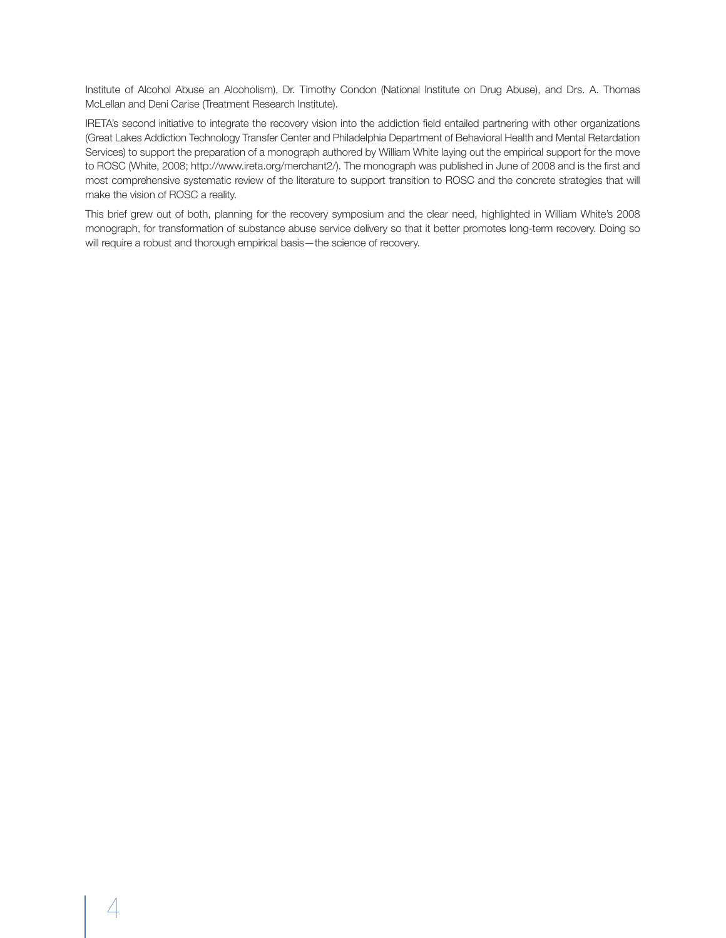Institute of Alcohol Abuse an Alcoholism), Dr. Timothy Condon (National Institute on Drug Abuse), and Drs. A. Thomas McLellan and Deni Carise (Treatment Research Institute).

IRETA's second initiative to integrate the recovery vision into the addiction field entailed partnering with other organizations (Great Lakes Addiction Technology Transfer Center and Philadelphia Department of Behavioral Health and Mental Retardation Services) to support the preparation of a monograph authored by William White laying out the empirical support for the move to ROSC (White, 2008; http://www.ireta.org/merchant2/). The monograph was published in June of 2008 and is the first and most comprehensive systematic review of the literature to support transition to ROSC and the concrete strategies that will make the vision of ROSC a reality.

This brief grew out of both, planning for the recovery symposium and the clear need, highlighted in William White's 2008 monograph, for transformation of substance abuse service delivery so that it better promotes long-term recovery. Doing so will require a robust and thorough empirical basis—the science of recovery.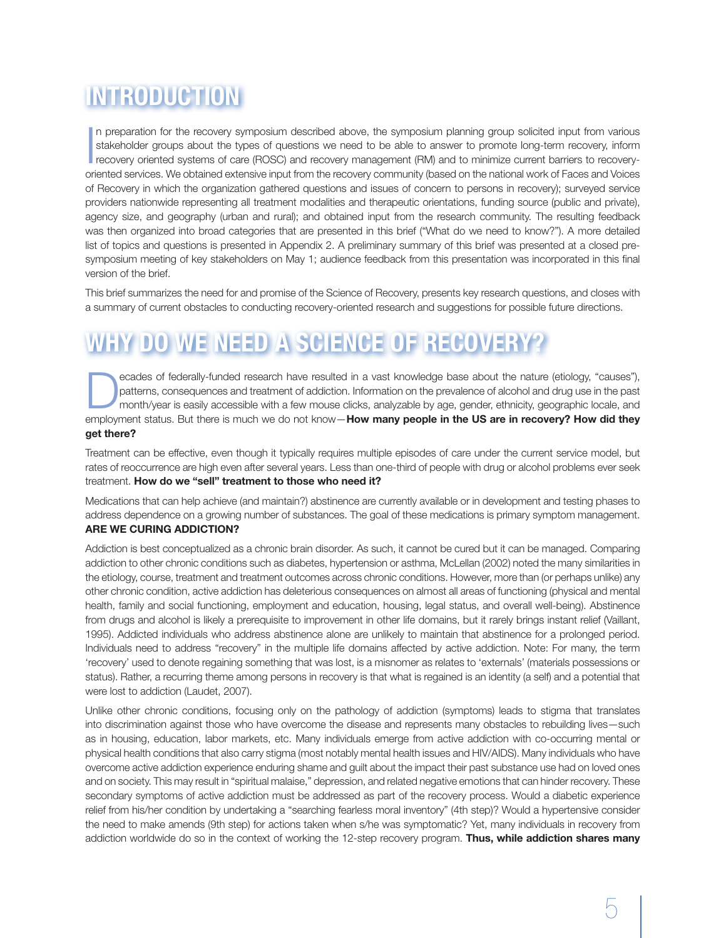# **INTRODUCTION**

In preparation for the recovery symposium described above, the symposium planning group solicited input from various stakeholder groups about the types of questions we need to be able to answer to promote long-term recover n preparation for the recovery symposium described above, the symposium planning group solicited input from various stakeholder groups about the types of questions we need to be able to answer to promote long-term recovery, inform oriented services. We obtained extensive input from the recovery community (based on the national work of Faces and Voices of Recovery in which the organization gathered questions and issues of concern to persons in recovery); surveyed service providers nationwide representing all treatment modalities and therapeutic orientations, funding source (public and private), agency size, and geography (urban and rural); and obtained input from the research community. The resulting feedback was then organized into broad categories that are presented in this brief ("What do we need to know?"). A more detailed list of topics and questions is presented in Appendix 2. A preliminary summary of this brief was presented at a closed presymposium meeting of key stakeholders on May 1; audience feedback from this presentation was incorporated in this final version of the brief.

This brief summarizes the need for and promise of the Science of Recovery, presents key research questions, and closes with a summary of current obstacles to conducting recovery-oriented research and suggestions for possible future directions.

# **WHY DO WE NEED A SCIENCE OF RECOVERY?**

ecades of federally-funded research have resulted in a vast knowledge base about the nature (etiology, "causes"),<br>patterns, consequences and treatment of addiction. Information on the prevalence of alcohol and drug use in patterns, consequences and treatment of addiction. Information on the prevalence of alcohol and drug use in the past employment status. But there is much we do not know—**How many people in the US are in recovery? How did they get there?**

Treatment can be effective, even though it typically requires multiple episodes of care under the current service model, but rates of reoccurrence are high even after several years. Less than one-third of people with drug or alcohol problems ever seek treatment. **How do we "sell" treatment to those who need it?** 

Medications that can help achieve (and maintain?) abstinence are currently available or in development and testing phases to address dependence on a growing number of substances. The goal of these medications is primary symptom management. **ARE WE CURING ADDICTION?** 

Addiction is best conceptualized as a chronic brain disorder. As such, it cannot be cured but it can be managed. Comparing addiction to other chronic conditions such as diabetes, hypertension or asthma, McLellan (2002) noted the many similarities in the etiology, course, treatment and treatment outcomes across chronic conditions. However, more than (or perhaps unlike) any other chronic condition, active addiction has deleterious consequences on almost all areas of functioning (physical and mental health, family and social functioning, employment and education, housing, legal status, and overall well-being). Abstinence from drugs and alcohol is likely a prerequisite to improvement in other life domains, but it rarely brings instant relief (Vaillant, 1995). Addicted individuals who address abstinence alone are unlikely to maintain that abstinence for a prolonged period. Individuals need to address "recovery" in the multiple life domains affected by active addiction. Note: For many, the term 'recovery' used to denote regaining something that was lost, is a misnomer as relates to 'externals' (materials possessions or status). Rather, a recurring theme among persons in recovery is that what is regained is an identity (a self) and a potential that were lost to addiction (Laudet, 2007).

Unlike other chronic conditions, focusing only on the pathology of addiction (symptoms) leads to stigma that translates into discrimination against those who have overcome the disease and represents many obstacles to rebuilding lives—such as in housing, education, labor markets, etc. Many individuals emerge from active addiction with co-occurring mental or physical health conditions that also carry stigma (most notably mental health issues and HIV/AIDS). Many individuals who have overcome active addiction experience enduring shame and guilt about the impact their past substance use had on loved ones and on society. This may result in "spiritual malaise," depression, and related negative emotions that can hinder recovery. These secondary symptoms of active addiction must be addressed as part of the recovery process. Would a diabetic experience relief from his/her condition by undertaking a "searching fearless moral inventory" (4th step)? Would a hypertensive consider the need to make amends (9th step) for actions taken when s/he was symptomatic? Yet, many individuals in recovery from addiction worldwide do so in the context of working the 12-step recovery program. **Thus, while addiction shares many**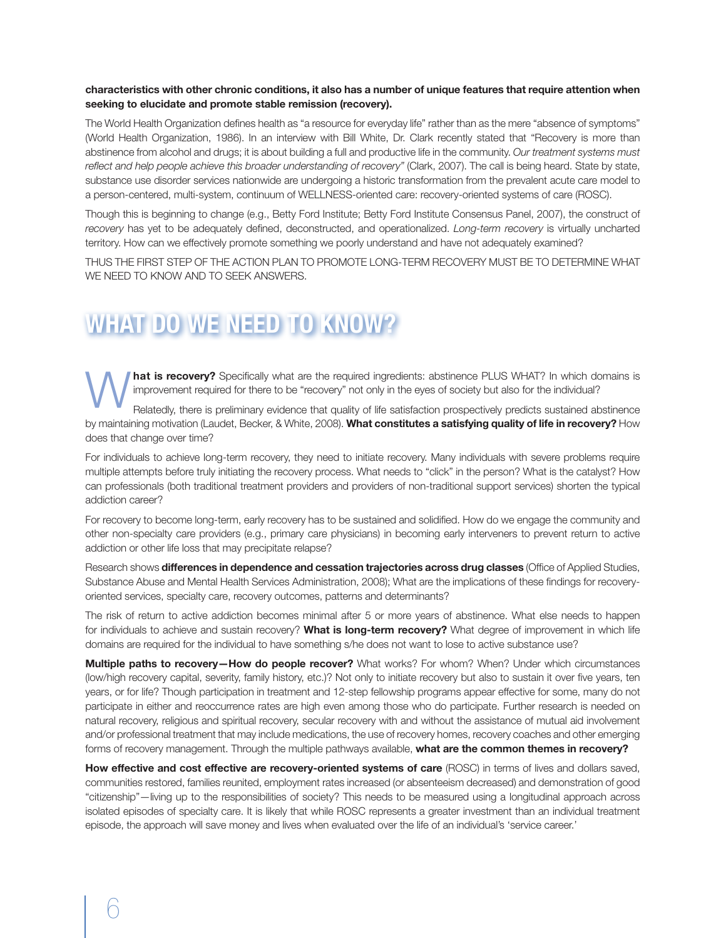#### **characteristics with other chronic conditions, it also has a number of unique features that require attention when seeking to elucidate and promote stable remission (recovery).**

The World Health Organization defines health as "a resource for everyday life" rather than as the mere "absence of symptoms" (World Health Organization, 1986). In an interview with Bill White, Dr. Clark recently stated that "Recovery is more than abstinence from alcohol and drugs; it is about building a full and productive life in the community. *Our treatment systems must reflect and help people achieve this broader understanding of recovery"* (Clark, 2007). The call is being heard. State by state, substance use disorder services nationwide are undergoing a historic transformation from the prevalent acute care model to a person-centered, multi-system, continuum of WELLNESS-oriented care: recovery-oriented systems of care (ROSC).

Though this is beginning to change (e.g., Betty Ford Institute; Betty Ford Institute Consensus Panel, 2007), the construct of *recovery* has yet to be adequately defined, deconstructed, and operationalized. *Long-term recovery* is virtually uncharted territory. How can we effectively promote something we poorly understand and have not adequately examined?

THUS THE FIRST STEP OF THE ACTION PLAN TO PROMOTE LONG-TERM RECOVERY MUST BE TO DETERMINE WHAT WE NEED TO KNOW AND TO SEEK ANSWERS.

# **WHAT DO WE NEED TO KNOW?**

**Mat is recovery?** Specifically what are the required ingredients: abstinence PLUS WHAT? In which domains is improvement required for there to be "recovery" not only in the eyes of society but also for the individual?<br>Rela improvement required for there to be "recovery" not only in the eyes of society but also for the individual?

by maintaining motivation (Laudet, Becker, & White, 2008). **What constitutes a satisfying quality of life in recovery?** How does that change over time?

For individuals to achieve long-term recovery, they need to initiate recovery. Many individuals with severe problems require multiple attempts before truly initiating the recovery process. What needs to "click" in the person? What is the catalyst? How can professionals (both traditional treatment providers and providers of non-traditional support services) shorten the typical addiction career?

For recovery to become long-term, early recovery has to be sustained and solidified. How do we engage the community and other non-specialty care providers (e.g., primary care physicians) in becoming early interveners to prevent return to active addiction or other life loss that may precipitate relapse?

Research shows **differences in dependence and cessation trajectories across drug classes** (Office of Applied Studies, Substance Abuse and Mental Health Services Administration, 2008); What are the implications of these findings for recoveryoriented services, specialty care, recovery outcomes, patterns and determinants?

The risk of return to active addiction becomes minimal after 5 or more years of abstinence. What else needs to happen for individuals to achieve and sustain recovery? **What is long-term recovery?** What degree of improvement in which life domains are required for the individual to have something s/he does not want to lose to active substance use?

**Multiple paths to recovery—How do people recover?** What works? For whom? When? Under which circumstances (low/high recovery capital, severity, family history, etc.)? Not only to initiate recovery but also to sustain it over five years, ten years, or for life? Though participation in treatment and 12-step fellowship programs appear effective for some, many do not participate in either and reoccurrence rates are high even among those who do participate. Further research is needed on natural recovery, religious and spiritual recovery, secular recovery with and without the assistance of mutual aid involvement and/or professional treatment that may include medications, the use of recovery homes, recovery coaches and other emerging forms of recovery management. Through the multiple pathways available, **what are the common themes in recovery?**

**How effective and cost effective are recovery-oriented systems of care** (ROSC) in terms of lives and dollars saved, communities restored, families reunited, employment rates increased (or absenteeism decreased) and demonstration of good "citizenship"—living up to the responsibilities of society? This needs to be measured using a longitudinal approach across isolated episodes of specialty care. It is likely that while ROSC represents a greater investment than an individual treatment episode, the approach will save money and lives when evaluated over the life of an individual's 'service career.'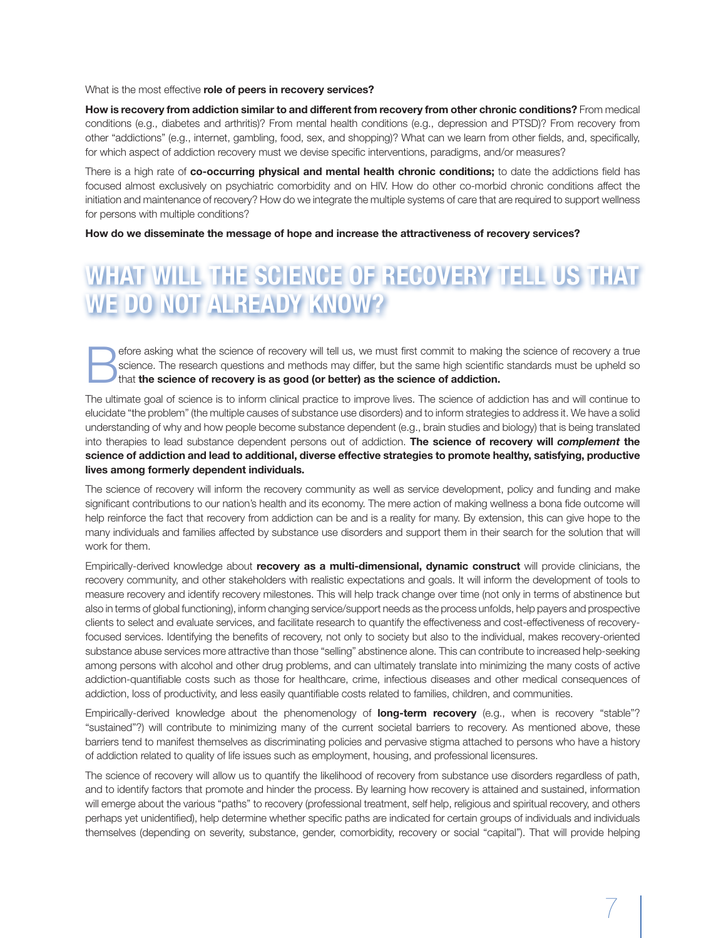What is the most effective **role of peers in recovery services?**

**How is recovery from addiction similar to and different from recovery from other chronic conditions?** From medical conditions (e.g., diabetes and arthritis)? From mental health conditions (e.g., depression and PTSD)? From recovery from other "addictions" (e.g., internet, gambling, food, sex, and shopping)? What can we learn from other fields, and, specifically, for which aspect of addiction recovery must we devise specific interventions, paradigms, and/or measures?

There is a high rate of **co-occurring physical and mental health chronic conditions;** to date the addictions field has focused almost exclusively on psychiatric comorbidity and on HIV. How do other co-morbid chronic conditions affect the initiation and maintenance of recovery? How do we integrate the multiple systems of care that are required to support wellness for persons with multiple conditions?

**How do we disseminate the message of hope and increase the attractiveness of recovery services?** 

# **WHAT WILL THE SCIENCE OF RECOVERY TELL US THAT WE DO NOT ALREADY KNOW?**

efore asking what the science of recovery will tell us, we must first commit to making the science of recovery a true<br>science. The research questions and methods may differ, but the same high scientific standards must be u science. The research questions and methods may differ, but the same high scientific standards must be upheld so that **the science of recovery is as good (or better) as the science of addiction.**

The ultimate goal of science is to inform clinical practice to improve lives. The science of addiction has and will continue to elucidate "the problem" (the multiple causes of substance use disorders) and to inform strategies to address it. We have a solid understanding of why and how people become substance dependent (e.g., brain studies and biology) that is being translated into therapies to lead substance dependent persons out of addiction. **The science of recovery will** *complement* **the science of addiction and lead to additional, diverse effective strategies to promote healthy, satisfying, productive lives among formerly dependent individuals.**

The science of recovery will inform the recovery community as well as service development, policy and funding and make significant contributions to our nation's health and its economy. The mere action of making wellness a bona fide outcome will help reinforce the fact that recovery from addiction can be and is a reality for many. By extension, this can give hope to the many individuals and families affected by substance use disorders and support them in their search for the solution that will work for them.

Empirically-derived knowledge about **recovery as a multi-dimensional, dynamic construct** will provide clinicians, the recovery community, and other stakeholders with realistic expectations and goals. It will inform the development of tools to measure recovery and identify recovery milestones. This will help track change over time (not only in terms of abstinence but also in terms of global functioning), inform changing service/support needs as the process unfolds, help payers and prospective clients to select and evaluate services, and facilitate research to quantify the effectiveness and cost-effectiveness of recoveryfocused services. Identifying the benefits of recovery, not only to society but also to the individual, makes recovery-oriented substance abuse services more attractive than those "selling" abstinence alone. This can contribute to increased help-seeking among persons with alcohol and other drug problems, and can ultimately translate into minimizing the many costs of active addiction-quantifiable costs such as those for healthcare, crime, infectious diseases and other medical consequences of addiction, loss of productivity, and less easily quantifiable costs related to families, children, and communities.

Empirically-derived knowledge about the phenomenology of **long-term recovery** (e.g., when is recovery "stable"? "sustained"?) will contribute to minimizing many of the current societal barriers to recovery. As mentioned above, these barriers tend to manifest themselves as discriminating policies and pervasive stigma attached to persons who have a history of addiction related to quality of life issues such as employment, housing, and professional licensures.

The science of recovery will allow us to quantify the likelihood of recovery from substance use disorders regardless of path, and to identify factors that promote and hinder the process. By learning how recovery is attained and sustained, information will emerge about the various "paths" to recovery (professional treatment, self help, religious and spiritual recovery, and others perhaps yet unidentified), help determine whether specific paths are indicated for certain groups of individuals and individuals themselves (depending on severity, substance, gender, comorbidity, recovery or social "capital"). That will provide helping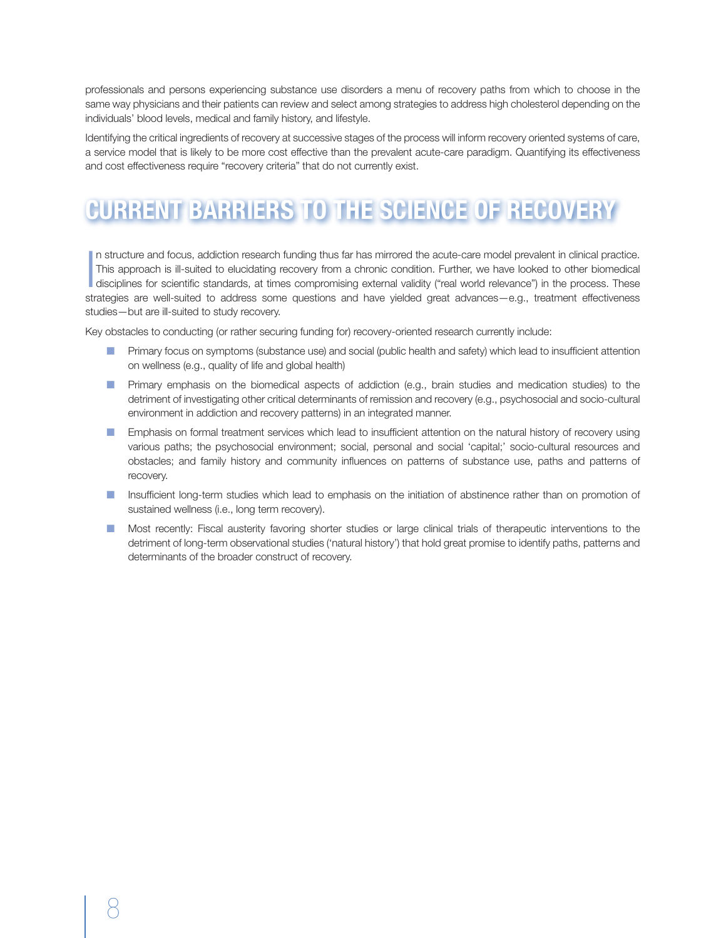professionals and persons experiencing substance use disorders a menu of recovery paths from which to choose in the same way physicians and their patients can review and select among strategies to address high cholesterol depending on the individuals' blood levels, medical and family history, and lifestyle.

Identifying the critical ingredients of recovery at successive stages of the process will inform recovery oriented systems of care, a service model that is likely to be more cost effective than the prevalent acute-care paradigm. Quantifying its effectiveness and cost effectiveness require "recovery criteria" that do not currently exist.

# **CURRENT BARRIERS TO THE SCIENCE OF RECOVERY**

In structure and focus, addiction research funding thus far has mirrored the acute-care model prevalent in clinical practice.<br>This approach is ill-suited to elucidating recovery from a chronic condition. Further, we have l This approach is ill-suited to elucidating recovery from a chronic condition. Further, we have looked to other biomedical disciplines for scientific standards, at times compromising external validity ("real world relevance") in the process. These strategies are well-suited to address some questions and have yielded great advances—e.g., treatment effectiveness studies—but are ill-suited to study recovery.

Key obstacles to conducting (or rather securing funding for) recovery-oriented research currently include:

- **n** Primary focus on symptoms (substance use) and social (public health and safety) which lead to insufficient attention on wellness (e.g., quality of life and global health)
- n Primary emphasis on the biomedical aspects of addiction (e.g., brain studies and medication studies) to the detriment of investigating other critical determinants of remission and recovery (e.g., psychosocial and socio-cultural environment in addiction and recovery patterns) in an integrated manner.
- **n** Emphasis on formal treatment services which lead to insufficient attention on the natural history of recovery using various paths; the psychosocial environment; social, personal and social 'capital;' socio-cultural resources and obstacles; and family history and community influences on patterns of substance use, paths and patterns of recovery.
- **n** Insufficient long-term studies which lead to emphasis on the initiation of abstinence rather than on promotion of sustained wellness (i.e., long term recovery).
- **n** Most recently: Fiscal austerity favoring shorter studies or large clinical trials of therapeutic interventions to the detriment of long-term observational studies ('natural history') that hold great promise to identify paths, patterns and determinants of the broader construct of recovery.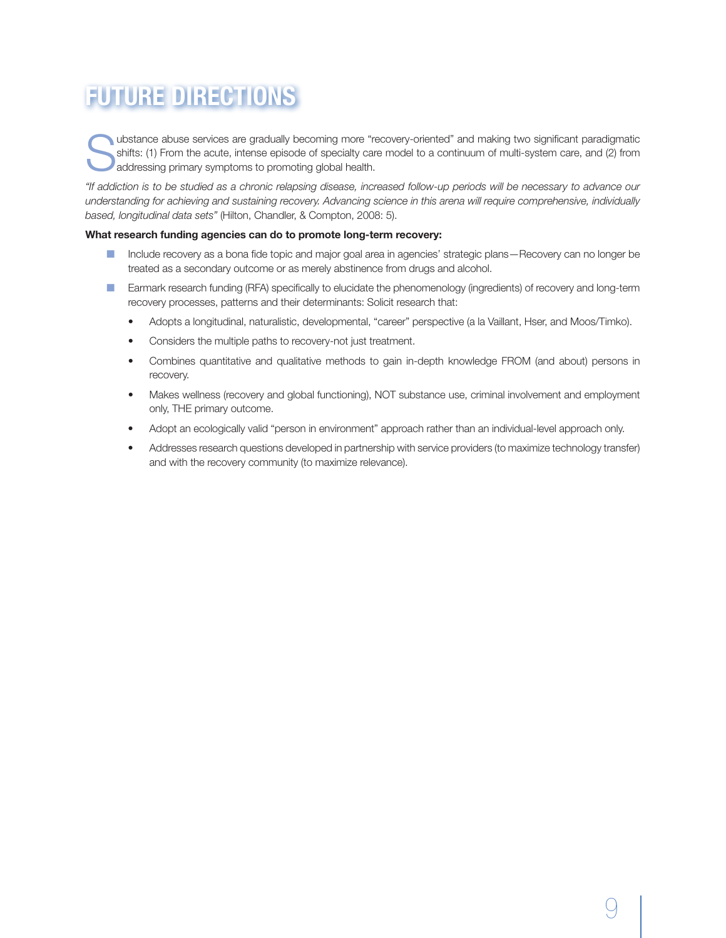# **FUTURE DIRECTIONS**

ubstance abuse services are gradually becoming more "recovery-oriented" and making two significant paradigmatic shifts: (1) From the acute, intense episode of specialty care model to a continuum of multi-system care, and (2) from addressing primary symptoms to promoting global health.

*"If addiction is to be studied as a chronic relapsing disease, increased follow-up periods will be necessary to advance our understanding for achieving and sustaining recovery. Advancing science in this arena will require comprehensive, individually based, longitudinal data sets"* (Hilton, Chandler, & Compton, 2008: 5).

#### **What research funding agencies can do to promote long-term recovery:**

- Include recovery as a bona fide topic and major goal area in agencies' strategic plans—Recovery can no longer be treated as a secondary outcome or as merely abstinence from drugs and alcohol.
- **n** Earmark research funding (RFA) specifically to elucidate the phenomenology (ingredients) of recovery and long-term recovery processes, patterns and their determinants: Solicit research that:
	- • Adopts a longitudinal, naturalistic, developmental, "career" perspective (a la Vaillant, Hser, and Moos/Timko).
	- Considers the multiple paths to recovery-not just treatment.
	- Combines quantitative and qualitative methods to gain in-depth knowledge FROM (and about) persons in recovery.
	- Makes wellness (recovery and global functioning), NOT substance use, criminal involvement and employment only, THE primary outcome.
	- • Adopt an ecologically valid "person in environment" approach rather than an individual-level approach only.
	- Addresses research questions developed in partnership with service providers (to maximize technology transfer) and with the recovery community (to maximize relevance).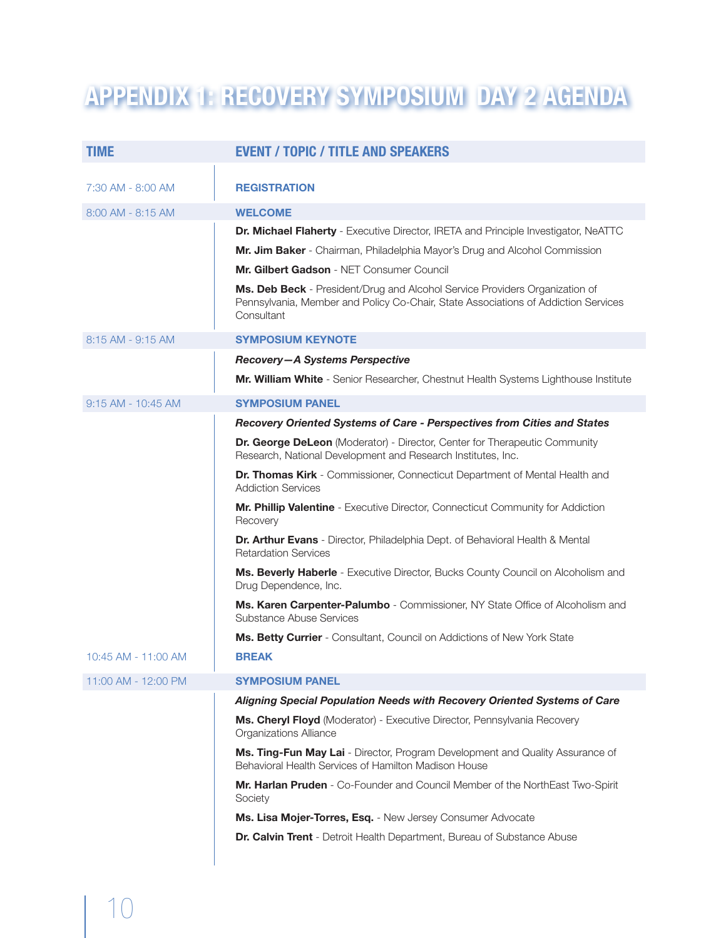# **APPENDIX 1: RECOVERY SYMPOSIUM DAY 2 AGENDA**

| <b>TIME</b>            | <b>EVENT / TOPIC / TITLE AND SPEAKERS</b>                                                                                                                                       |
|------------------------|---------------------------------------------------------------------------------------------------------------------------------------------------------------------------------|
|                        |                                                                                                                                                                                 |
| 7:30 AM - 8:00 AM      | <b>REGISTRATION</b>                                                                                                                                                             |
| 8:00 AM - 8:15 AM      | <b>WELCOME</b>                                                                                                                                                                  |
|                        | Dr. Michael Flaherty - Executive Director, IRETA and Principle Investigator, NeATTC                                                                                             |
|                        | Mr. Jim Baker - Chairman, Philadelphia Mayor's Drug and Alcohol Commission                                                                                                      |
|                        | Mr. Gilbert Gadson - NET Consumer Council                                                                                                                                       |
|                        | Ms. Deb Beck - President/Drug and Alcohol Service Providers Organization of<br>Pennsylvania, Member and Policy Co-Chair, State Associations of Addiction Services<br>Consultant |
| 8:15 AM - 9:15 AM      | <b>SYMPOSIUM KEYNOTE</b>                                                                                                                                                        |
|                        | Recovery-A Systems Perspective                                                                                                                                                  |
|                        | Mr. William White - Senior Researcher, Chestnut Health Systems Lighthouse Institute                                                                                             |
| $9:15$ AM - $10:45$ AM | <b>SYMPOSIUM PANEL</b>                                                                                                                                                          |
|                        | Recovery Oriented Systems of Care - Perspectives from Cities and States                                                                                                         |
|                        | <b>Dr. George DeLeon</b> (Moderator) - Director, Center for Therapeutic Community<br>Research, National Development and Research Institutes, Inc.                               |
|                        | Dr. Thomas Kirk - Commissioner, Connecticut Department of Mental Health and<br><b>Addiction Services</b>                                                                        |
|                        | Mr. Phillip Valentine - Executive Director, Connecticut Community for Addiction<br>Recovery                                                                                     |
|                        | Dr. Arthur Evans - Director, Philadelphia Dept. of Behavioral Health & Mental<br><b>Retardation Services</b>                                                                    |
|                        | Ms. Beverly Haberle - Executive Director, Bucks County Council on Alcoholism and<br>Drug Dependence, Inc.                                                                       |
|                        | Ms. Karen Carpenter-Palumbo - Commissioner, NY State Office of Alcoholism and<br>Substance Abuse Services                                                                       |
|                        | Ms. Betty Currier - Consultant, Council on Addictions of New York State                                                                                                         |
| 10:45 AM - 11:00 AM    | <b>BREAK</b>                                                                                                                                                                    |
| 11:00 AM - 12:00 PM    | <b>SYMPOSIUM PANEL</b>                                                                                                                                                          |
|                        | Aligning Special Population Needs with Recovery Oriented Systems of Care                                                                                                        |
|                        | Ms. Cheryl Floyd (Moderator) - Executive Director, Pennsylvania Recovery<br><b>Organizations Alliance</b>                                                                       |
|                        | Ms. Ting-Fun May Lai - Director, Program Development and Quality Assurance of<br>Behavioral Health Services of Hamilton Madison House                                           |
|                        | Mr. Harlan Pruden - Co-Founder and Council Member of the NorthEast Two-Spirit<br>Society                                                                                        |
|                        | Ms. Lisa Mojer-Torres, Esq. - New Jersey Consumer Advocate                                                                                                                      |
|                        | Dr. Calvin Trent - Detroit Health Department, Bureau of Substance Abuse                                                                                                         |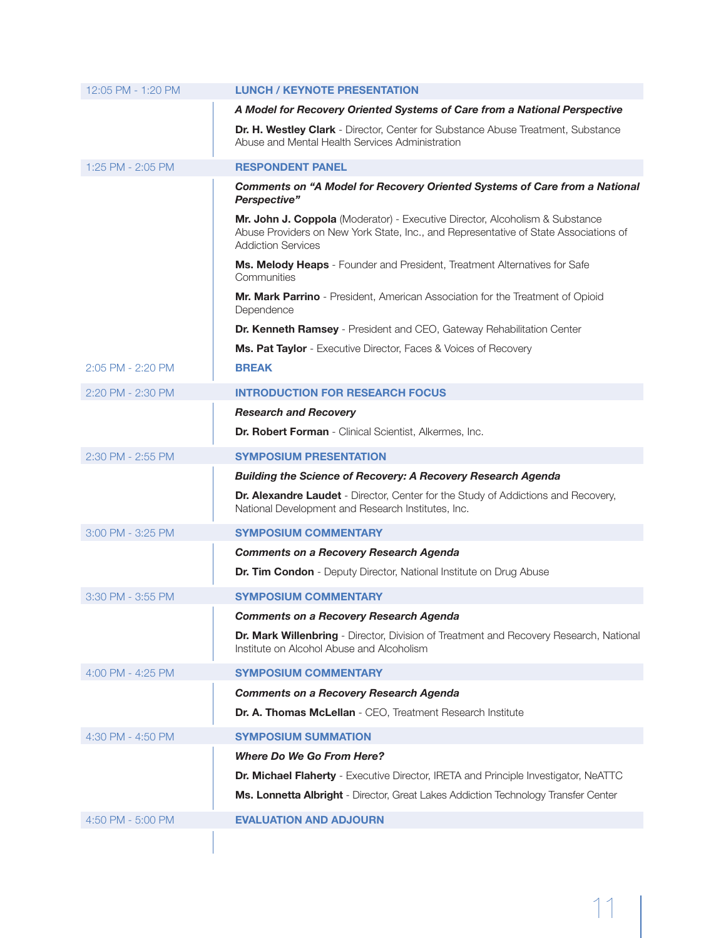| 12:05 PM - 1:20 PM | <b>LUNCH / KEYNOTE PRESENTATION</b>                                                                                                                                                               |
|--------------------|---------------------------------------------------------------------------------------------------------------------------------------------------------------------------------------------------|
|                    | A Model for Recovery Oriented Systems of Care from a National Perspective                                                                                                                         |
|                    | <b>Dr. H. Westley Clark</b> - Director, Center for Substance Abuse Treatment, Substance<br>Abuse and Mental Health Services Administration                                                        |
| 1:25 PM - 2:05 PM  | <b>RESPONDENT PANEL</b>                                                                                                                                                                           |
|                    | <b>Comments on "A Model for Recovery Oriented Systems of Care from a National</b><br>Perspective"                                                                                                 |
|                    | Mr. John J. Coppola (Moderator) - Executive Director, Alcoholism & Substance<br>Abuse Providers on New York State, Inc., and Representative of State Associations of<br><b>Addiction Services</b> |
|                    | Ms. Melody Heaps - Founder and President, Treatment Alternatives for Safe<br>Communities                                                                                                          |
|                    | Mr. Mark Parrino - President, American Association for the Treatment of Opioid<br>Dependence                                                                                                      |
|                    | Dr. Kenneth Ramsey - President and CEO, Gateway Rehabilitation Center                                                                                                                             |
|                    | Ms. Pat Taylor - Executive Director, Faces & Voices of Recovery                                                                                                                                   |
| 2:05 PM - 2:20 PM  | <b>BREAK</b>                                                                                                                                                                                      |
| 2:20 PM - 2:30 PM  | <b>INTRODUCTION FOR RESEARCH FOCUS</b>                                                                                                                                                            |
|                    | <b>Research and Recovery</b>                                                                                                                                                                      |
|                    | Dr. Robert Forman - Clinical Scientist, Alkermes, Inc.                                                                                                                                            |
| 2:30 PM - 2:55 PM  | <b>SYMPOSIUM PRESENTATION</b>                                                                                                                                                                     |
|                    | <b>Building the Science of Recovery: A Recovery Research Agenda</b>                                                                                                                               |
|                    | Dr. Alexandre Laudet - Director, Center for the Study of Addictions and Recovery,<br>National Development and Research Institutes, Inc.                                                           |
| 3:00 PM - 3:25 PM  | <b>SYMPOSIUM COMMENTARY</b>                                                                                                                                                                       |
|                    | <b>Comments on a Recovery Research Agenda</b>                                                                                                                                                     |
|                    | Dr. Tim Condon - Deputy Director, National Institute on Drug Abuse                                                                                                                                |
| 3:30 PM - 3:55 PM  | <b>SYMPOSIUM COMMENTARY</b>                                                                                                                                                                       |
|                    | Comments on a Recovery Research Agenda                                                                                                                                                            |
|                    | <b>Dr. Mark Willenbring</b> - Director, Division of Treatment and Recovery Research, National<br>Institute on Alcohol Abuse and Alcoholism                                                        |
| 4:00 PM - 4:25 PM  | <b>SYMPOSIUM COMMENTARY</b>                                                                                                                                                                       |
|                    | <b>Comments on a Recovery Research Agenda</b>                                                                                                                                                     |
|                    | Dr. A. Thomas McLellan - CEO, Treatment Research Institute                                                                                                                                        |
| 4:30 PM - 4:50 PM  | <b>SYMPOSIUM SUMMATION</b>                                                                                                                                                                        |
|                    | <b>Where Do We Go From Here?</b>                                                                                                                                                                  |
|                    | <b>Dr. Michael Flaherty</b> - Executive Director, IRETA and Principle Investigator, NeATTC                                                                                                        |
|                    | Ms. Lonnetta Albright - Director, Great Lakes Addiction Technology Transfer Center                                                                                                                |
| 4:50 PM - 5:00 PM  | <b>EVALUATION AND ADJOURN</b>                                                                                                                                                                     |
|                    |                                                                                                                                                                                                   |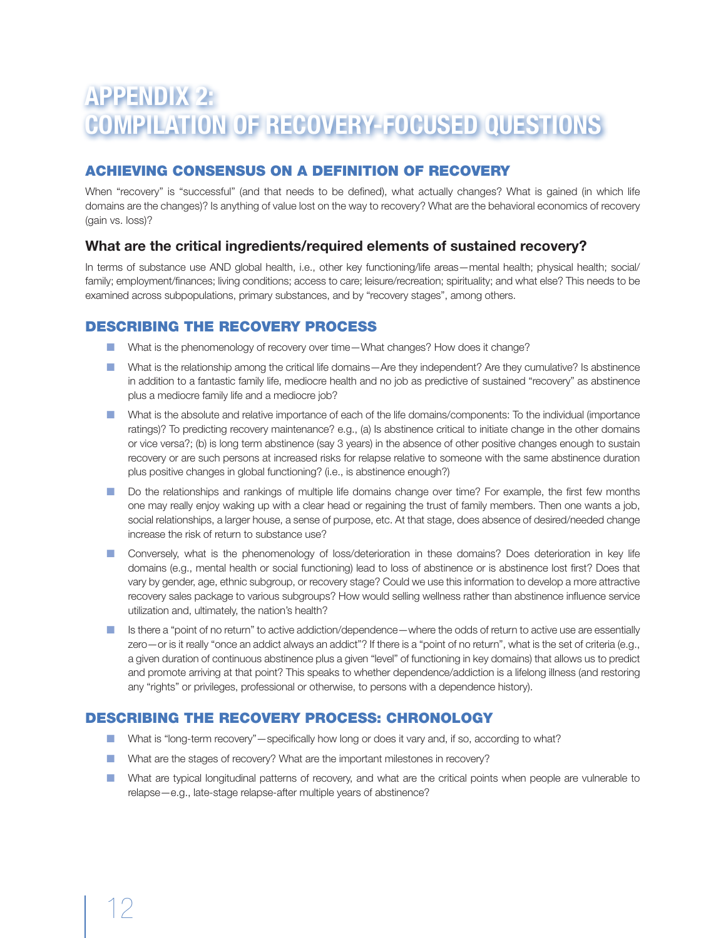# **APPENDIX 2: COMPILATION OF RECOVERY-FOCUSED QUESTIONS**

# ACHIEVING CONSENSUS ON A DEFINITION OF RECOVERY

When "recovery" is "successful" (and that needs to be defined), what actually changes? What is gained (in which life domains are the changes)? Is anything of value lost on the way to recovery? What are the behavioral economics of recovery (gain vs. loss)?

### **What are the critical ingredients/required elements of sustained recovery?**

In terms of substance use AND global health, i.e., other key functioning/life areas—mental health; physical health; social/ family; employment/finances; living conditions; access to care; leisure/recreation; spirituality; and what else? This needs to be examined across subpopulations, primary substances, and by "recovery stages", among others.

### DESCRIBING THE RECOVERY PROCESS

- What is the phenomenology of recovery over time—What changes? How does it change?
- What is the relationship among the critical life domains—Are they independent? Are they cumulative? Is abstinence in addition to a fantastic family life, mediocre health and no job as predictive of sustained "recovery" as abstinence plus a mediocre family life and a mediocre job?
- **n** What is the absolute and relative importance of each of the life domains/components: To the individual (importance ratings)? To predicting recovery maintenance? e.g., (a) Is abstinence critical to initiate change in the other domains or vice versa?; (b) is long term abstinence (say 3 years) in the absence of other positive changes enough to sustain recovery or are such persons at increased risks for relapse relative to someone with the same abstinence duration plus positive changes in global functioning? (i.e., is abstinence enough?)
- n Do the relationships and rankings of multiple life domains change over time? For example, the first few months one may really enjoy waking up with a clear head or regaining the trust of family members. Then one wants a job, social relationships, a larger house, a sense of purpose, etc. At that stage, does absence of desired/needed change increase the risk of return to substance use?
- **n** Conversely, what is the phenomenology of loss/deterioration in these domains? Does deterioration in key life domains (e.g., mental health or social functioning) lead to loss of abstinence or is abstinence lost first? Does that vary by gender, age, ethnic subgroup, or recovery stage? Could we use this information to develop a more attractive recovery sales package to various subgroups? How would selling wellness rather than abstinence influence service utilization and, ultimately, the nation's health?
- Is there a "point of no return" to active addiction/dependence—where the odds of return to active use are essentially zero—or is it really "once an addict always an addict"? If there is a "point of no return", what is the set of criteria (e.g., a given duration of continuous abstinence plus a given "level" of functioning in key domains) that allows us to predict and promote arriving at that point? This speaks to whether dependence/addiction is a lifelong illness (and restoring any "rights" or privileges, professional or otherwise, to persons with a dependence history).

# DESCRIBING THE RECOVERY PROCESS: Chronology

- What is "long-term recovery"—specifically how long or does it vary and, if so, according to what?
- What are the stages of recovery? What are the important milestones in recovery?
- **n** What are typical longitudinal patterns of recovery, and what are the critical points when people are vulnerable to relapse—e.g., late-stage relapse-after multiple years of abstinence?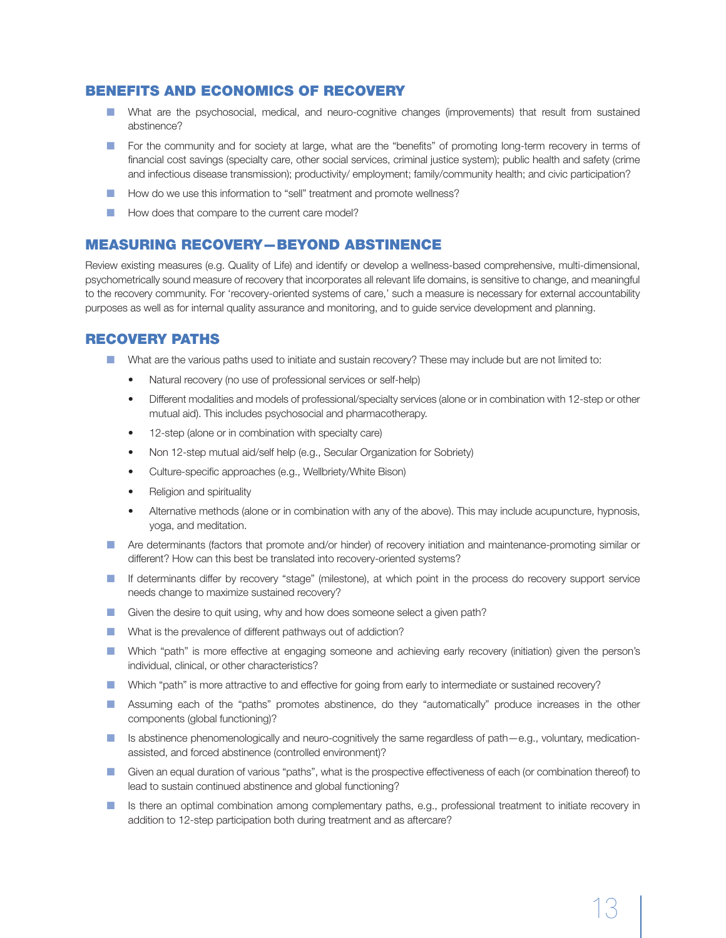### BENEFITS and ECONOMICS of RECOVERY

- n What are the psychosocial, medical, and neuro-cognitive changes (improvements) that result from sustained abstinence?
- **n** For the community and for society at large, what are the "benefits" of promoting long-term recovery in terms of financial cost savings (specialty care, other social services, criminal justice system); public health and safety (crime and infectious disease transmission); productivity/ employment; family/community health; and civic participation?
- How do we use this information to "sell" treatment and promote wellness?
- **n** How does that compare to the current care model?

### **MEASURING RECOVERY-BEYOND ABSTINENCE**

Review existing measures (e.g. Quality of Life) and identify or develop a wellness-based comprehensive, multi-dimensional, psychometrically sound measure of recovery that incorporates all relevant life domains, is sensitive to change, and meaningful to the recovery community. For 'recovery-oriented systems of care,' such a measure is necessary for external accountability purposes as well as for internal quality assurance and monitoring, and to guide service development and planning.

### RECOVERY PATHS

- **n** What are the various paths used to initiate and sustain recovery? These may include but are not limited to:
	- Natural recovery (no use of professional services or self-help)
	- Different modalities and models of professional/specialty services (alone or in combination with 12-step or other mutual aid). This includes psychosocial and pharmacotherapy.
	- 12-step (alone or in combination with specialty care)
	- Non 12-step mutual aid/self help (e.g., Secular Organization for Sobriety)
	- Culture-specific approaches (e.g., Wellbriety/White Bison)
	- Religion and spirituality
	- Alternative methods (alone or in combination with any of the above). This may include acupuncture, hypnosis, yoga, and meditation.
- **n** Are determinants (factors that promote and/or hinder) of recovery initiation and maintenance-promoting similar or different? How can this best be translated into recovery-oriented systems?
- n If determinants differ by recovery "stage" (milestone), at which point in the process do recovery support service needs change to maximize sustained recovery?
- Given the desire to quit using, why and how does someone select a given path?
- **n** What is the prevalence of different pathways out of addiction?
- n Which "path" is more effective at engaging someone and achieving early recovery (initiation) given the person's individual, clinical, or other characteristics?
- **n** Which "path" is more attractive to and effective for going from early to intermediate or sustained recovery?
- **n** Assuming each of the "paths" promotes abstinence, do they "automatically" produce increases in the other components (global functioning)?
- Is abstinence phenomenologically and neuro-cognitively the same regardless of path—e.g., voluntary, medicationassisted, and forced abstinence (controlled environment)?
- n Given an equal duration of various "paths", what is the prospective effectiveness of each (or combination thereof) to lead to sustain continued abstinence and global functioning?
- **n** Is there an optimal combination among complementary paths, e.g., professional treatment to initiate recovery in addition to 12-step participation both during treatment and as aftercare?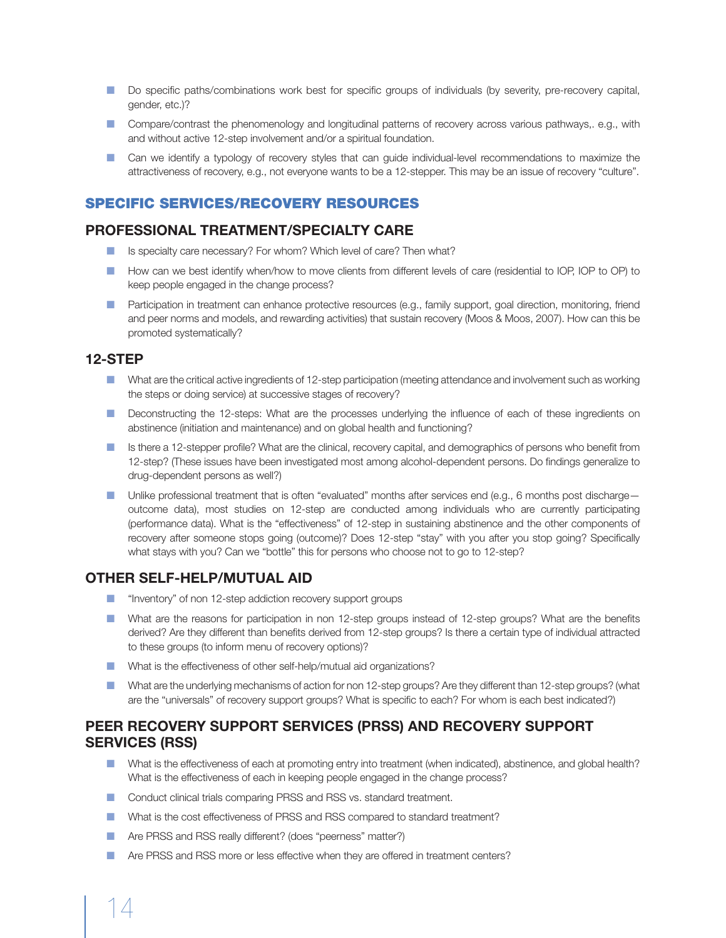- Do specific paths/combinations work best for specific groups of individuals (by severity, pre-recovery capital, gender, etc.)?
- **n** Compare/contrast the phenomenology and longitudinal patterns of recovery across various pathways,. e.g., with and without active 12-step involvement and/or a spiritual foundation.
- **n** Can we identify a typology of recovery styles that can guide individual-level recommendations to maximize the attractiveness of recovery, e.g., not everyone wants to be a 12-stepper. This may be an issue of recovery "culture".

### SPECIFIC SERVICES/RECOVERY RESOURCES

#### **PROFESSIONAL TREATMENT/SPECIALTY CARE**

- $\blacksquare$  Is specialty care necessary? For whom? Which level of care? Then what?
- How can we best identify when/how to move clients from different levels of care (residential to IOP, IOP to OP) to keep people engaged in the change process?
- n Participation in treatment can enhance protective resources (e.g., family support, goal direction, monitoring, friend and peer norms and models, and rewarding activities) that sustain recovery (Moos & Moos, 2007). How can this be promoted systematically?

#### **12-STEP**

- **n** What are the critical active ingredients of 12-step participation (meeting attendance and involvement such as working the steps or doing service) at successive stages of recovery?
- **n** Deconstructing the 12-steps: What are the processes underlying the influence of each of these ingredients on abstinence (initiation and maintenance) and on global health and functioning?
- **n** Is there a 12-stepper profile? What are the clinical, recovery capital, and demographics of persons who benefit from 12-step? (These issues have been investigated most among alcohol-dependent persons. Do findings generalize to drug-dependent persons as well?)
- Unlike professional treatment that is often "evaluated" months after services end (e.g., 6 months post discharge outcome data), most studies on 12-step are conducted among individuals who are currently participating (performance data). What is the "effectiveness" of 12-step in sustaining abstinence and the other components of recovery after someone stops going (outcome)? Does 12-step "stay" with you after you stop going? Specifically what stays with you? Can we "bottle" this for persons who choose not to go to 12-step?

### **OTHER SELF-HELP/MUTUAL AID**

- **n** "Inventory" of non 12-step addiction recovery support groups
- n What are the reasons for participation in non 12-step groups instead of 12-step groups? What are the benefits derived? Are they different than benefits derived from 12-step groups? Is there a certain type of individual attracted to these groups (to inform menu of recovery options)?
- What is the effectiveness of other self-help/mutual aid organizations?
- **n** What are the underlying mechanisms of action for non 12-step groups? Are they different than 12-step groups? (what are the "universals" of recovery support groups? What is specific to each? For whom is each best indicated?)

### **PEER RECOVERY SUPPORT SERVICES (PRSS) AND RECOVERY SUPPORT SERVICES (RSS)**

- What is the effectiveness of each at promoting entry into treatment (when indicated), abstinence, and global health? What is the effectiveness of each in keeping people engaged in the change process?
- Conduct clinical trials comparing PRSS and RSS vs. standard treatment.
- n What is the cost effectiveness of PRSS and RSS compared to standard treatment?
- **n** Are PRSS and RSS really different? (does "peerness" matter?)
- n Are PRSS and RSS more or less effective when they are offered in treatment centers?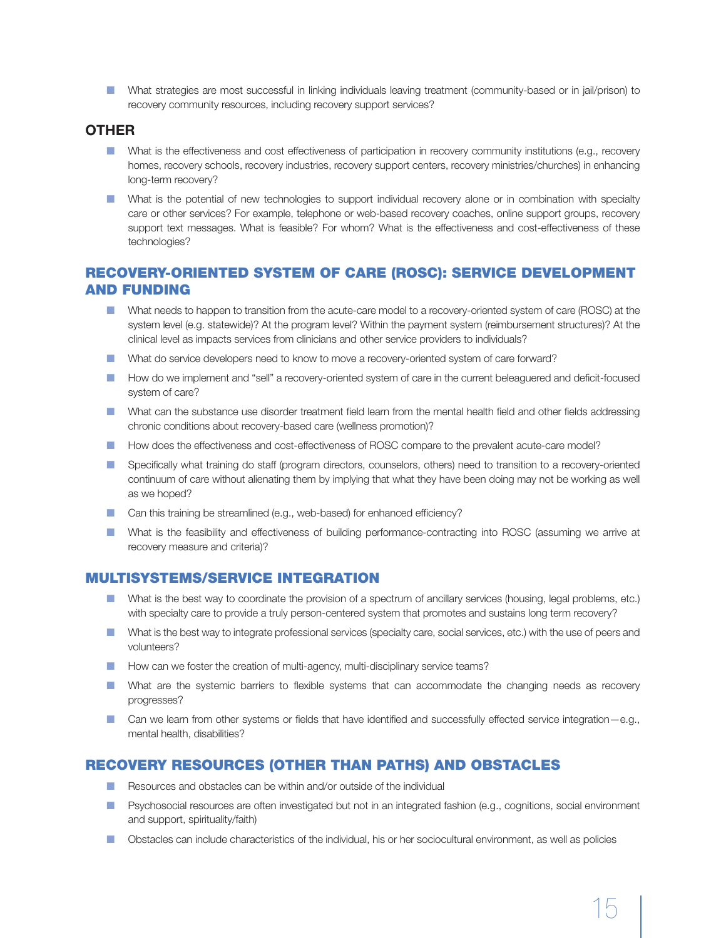n What strategies are most successful in linking individuals leaving treatment (community-based or in jail/prison) to recovery community resources, including recovery support services?

#### **OTHER**

- **n** What is the effectiveness and cost effectiveness of participation in recovery community institutions (e.g., recovery homes, recovery schools, recovery industries, recovery support centers, recovery ministries/churches) in enhancing long-term recovery?
- **n** What is the potential of new technologies to support individual recovery alone or in combination with specialty care or other services? For example, telephone or web-based recovery coaches, online support groups, recovery support text messages. What is feasible? For whom? What is the effectiveness and cost-effectiveness of these technologies?

### RECOVERY-ORIENTED SYSTEM OF CARE (ROSC): SERVICE DEVELOPMENT AND FUNDING

- **n** What needs to happen to transition from the acute-care model to a recovery-oriented system of care (ROSC) at the system level (e.g. statewide)? At the program level? Within the payment system (reimbursement structures)? At the clinical level as impacts services from clinicians and other service providers to individuals?
- **n** What do service developers need to know to move a recovery-oriented system of care forward?
- **n** How do we implement and "sell" a recovery-oriented system of care in the current beleaguered and deficit-focused system of care?
- **n** What can the substance use disorder treatment field learn from the mental health field and other fields addressing chronic conditions about recovery-based care (wellness promotion)?
- **n** How does the effectiveness and cost-effectiveness of ROSC compare to the prevalent acute-care model?
- **n** Specifically what training do staff (program directors, counselors, others) need to transition to a recovery-oriented continuum of care without alienating them by implying that what they have been doing may not be working as well as we hoped?
- Can this training be streamlined (e.g., web-based) for enhanced efficiency?
- **n** What is the feasibility and effectiveness of building performance-contracting into ROSC (assuming we arrive at recovery measure and criteria)?

### MULTISYSTEMS/SERVICE INTEGRATION

- **n** What is the best way to coordinate the provision of a spectrum of ancillary services (housing, legal problems, etc.) with specialty care to provide a truly person-centered system that promotes and sustains long term recovery?
- **n** What is the best way to integrate professional services (specialty care, social services, etc.) with the use of peers and volunteers?
- How can we foster the creation of multi-agency, multi-disciplinary service teams?
- **n** What are the systemic barriers to flexible systems that can accommodate the changing needs as recovery progresses?
- Can we learn from other systems or fields that have identified and successfully effected service integration–e.g., mental health, disabilities?

# RECOVERY RESOURCES (other than paths) AND OBSTACLES

- $\blacksquare$  Resources and obstacles can be within and/or outside of the individual
- **n** Psychosocial resources are often investigated but not in an integrated fashion (e.g., cognitions, social environment and support, spirituality/faith)
- **n** Obstacles can include characteristics of the individual, his or her sociocultural environment, as well as policies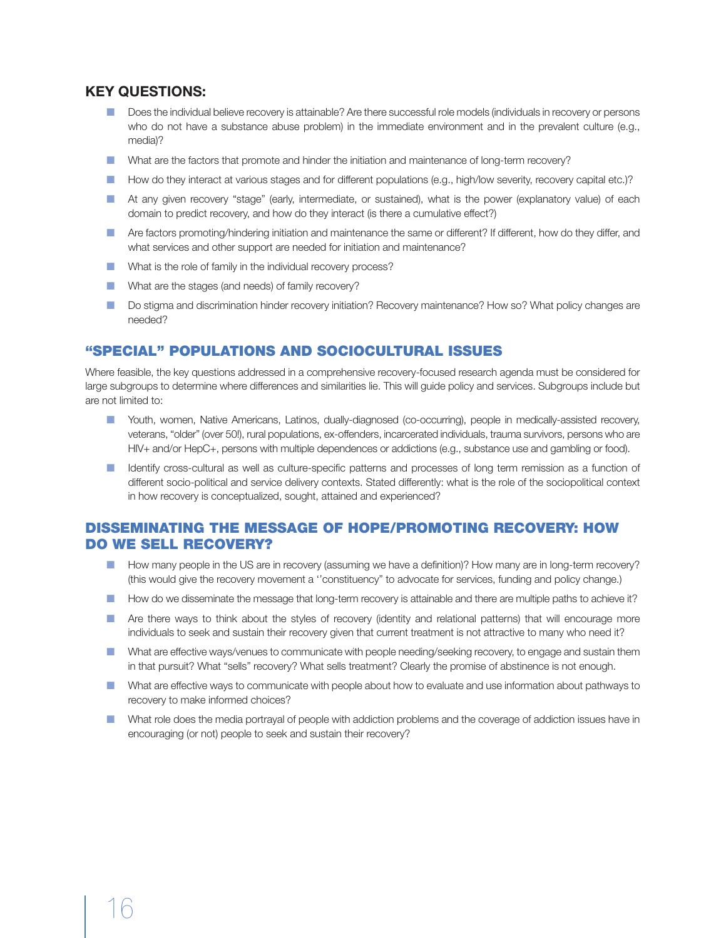#### **Key questions:**

- **n** Does the individual believe recovery is attainable? Are there successful role models (individuals in recovery or persons who do not have a substance abuse problem) in the immediate environment and in the prevalent culture (e.g., media)?
- **n** What are the factors that promote and hinder the initiation and maintenance of long-term recovery?
- How do they interact at various stages and for different populations (e.g., high/low severity, recovery capital etc.)?
- n At any given recovery "stage" (early, intermediate, or sustained), what is the power (explanatory value) of each domain to predict recovery, and how do they interact (is there a cumulative effect?)
- Are factors promoting/hindering initiation and maintenance the same or different? If different, how do they differ, and what services and other support are needed for initiation and maintenance?
- **n** What is the role of family in the individual recovery process?
- **n** What are the stages (and needs) of family recovery?
- Do stigma and discrimination hinder recovery initiation? Recovery maintenance? How so? What policy changes are needed?

#### "SPECIAL" POPULATIONS and SOCIOCULTURAL ISSUES

Where feasible, the key questions addressed in a comprehensive recovery-focused research agenda must be considered for large subgroups to determine where differences and similarities lie. This will guide policy and services. Subgroups include but are not limited to:

- n Youth, women, Native Americans, Latinos, dually-diagnosed (co-occurring), people in medically-assisted recovery, veterans, "older" (over 50!), rural populations, ex-offenders, incarcerated individuals, trauma survivors, persons who are HIV+ and/or HepC+, persons with multiple dependences or addictions (e.g., substance use and gambling or food).
- **n** Identify cross-cultural as well as culture-specific patterns and processes of long term remission as a function of different socio-political and service delivery contexts. Stated differently: what is the role of the sociopolitical context in how recovery is conceptualized, sought, attained and experienced?

### DISSEMINATING THE MESSAGE OF HOPE/PROMOTING RECOVERY: HOW DO WE SELL RECOVERY?

- How many people in the US are in recovery (assuming we have a definition)? How many are in long-term recovery? (this would give the recovery movement a ''constituency" to advocate for services, funding and policy change.)
- How do we disseminate the message that long-term recovery is attainable and there are multiple paths to achieve it?
- n Are there ways to think about the styles of recovery (identity and relational patterns) that will encourage more individuals to seek and sustain their recovery given that current treatment is not attractive to many who need it?
- **n** What are effective ways/venues to communicate with people needing/seeking recovery, to engage and sustain them in that pursuit? What "sells" recovery? What sells treatment? Clearly the promise of abstinence is not enough.
- **n** What are effective ways to communicate with people about how to evaluate and use information about pathways to recovery to make informed choices?
- n What role does the media portrayal of people with addiction problems and the coverage of addiction issues have in encouraging (or not) people to seek and sustain their recovery?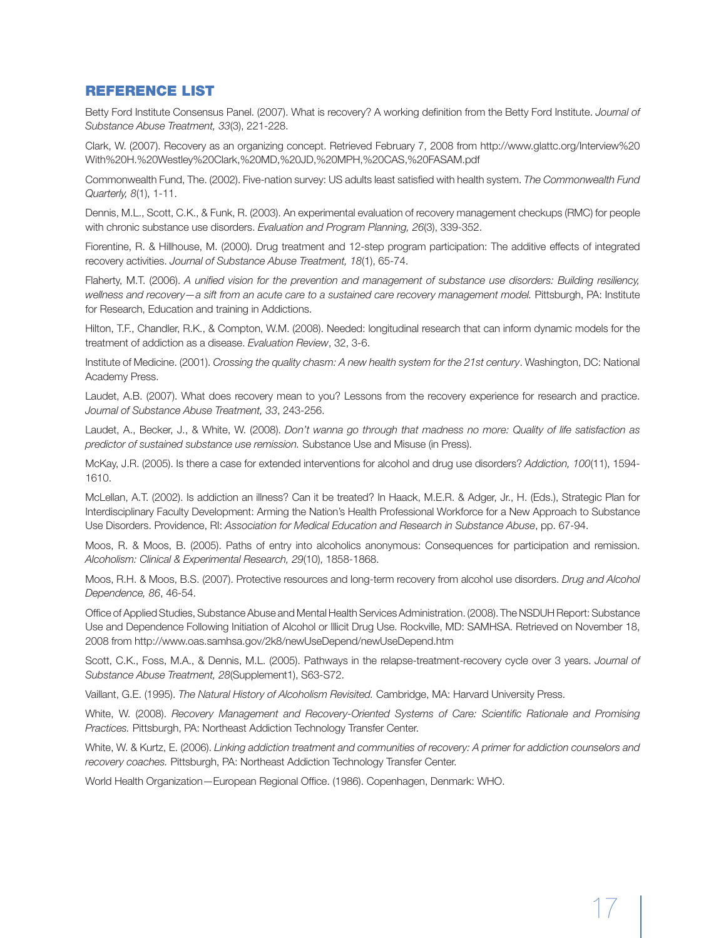#### Reference List

Betty Ford Institute Consensus Panel. (2007). What is recovery? A working definition from the Betty Ford Institute. *Journal of Substance Abuse Treatment, 33*(3), 221-228.

Clark, W. (2007). Recovery as an organizing concept. Retrieved February 7, 2008 from http://www.glattc.org/Interview%20 With%20H.%20Westley%20Clark,%20MD,%20JD,%20MPH,%20CAS,%20FASAM.pdf

Commonwealth Fund, The. (2002). Five-nation survey: US adults least satisfied with health system. *The Commonwealth Fund Quarterly, 8*(1), 1-11.

Dennis, M.L., Scott, C.K., & Funk, R. (2003). An experimental evaluation of recovery management checkups (RMC) for people with chronic substance use disorders. *Evaluation and Program Planning, 26*(3), 339-352.

Fiorentine, R. & Hillhouse, M. (2000). Drug treatment and 12-step program participation: The additive effects of integrated recovery activities. *Journal of Substance Abuse Treatment, 18*(1), 65-74.

Flaherty, M.T. (2006). *A unified vision for the prevention and management of substance use disorders: Building resiliency, wellness and recovery—a sift from an acute care to a sustained care recovery management model.* Pittsburgh, PA: Institute for Research, Education and training in Addictions.

Hilton, T.F., Chandler, R.K., & Compton, W.M. (2008). Needed: longitudinal research that can inform dynamic models for the treatment of addiction as a disease. *Evaluation Review*, 32, 3-6.

Institute of Medicine. (2001). *Crossing the quality chasm: A new health system for the 21st century*. Washington, DC: National Academy Press.

Laudet, A.B. (2007). What does recovery mean to you? Lessons from the recovery experience for research and practice. *Journal of Substance Abuse Treatment, 33*, 243-256.

Laudet, A., Becker, J., & White, W. (2008). *Don't wanna go through that madness no more: Quality of life satisfaction as predictor of sustained substance use remission.* Substance Use and Misuse (in Press).

McKay, J.R. (2005). Is there a case for extended interventions for alcohol and drug use disorders? *Addiction, 100*(11), 1594- 1610.

McLellan, A.T. (2002). Is addiction an illness? Can it be treated? In Haack, M.E.R. & Adger, Jr., H. (Eds.), Strategic Plan for Interdisciplinary Faculty Development: Arming the Nation's Health Professional Workforce for a New Approach to Substance Use Disorders. Providence, RI: *Association for Medical Education and Research in Substance Abuse*, pp. 67-94.

Moos, R. & Moos, B. (2005). Paths of entry into alcoholics anonymous: Consequences for participation and remission. *Alcoholism: Clinical & Experimental Research, 29*(10), 1858-1868.

Moos, R.H. & Moos, B.S. (2007). Protective resources and long-term recovery from alcohol use disorders. *Drug and Alcohol Dependence, 86*, 46-54.

Office of Applied Studies, Substance Abuse and Mental Health Services Administration. (2008). The NSDUH Report: Substance Use and Dependence Following Initiation of Alcohol or Illicit Drug Use. Rockville, MD: SAMHSA. Retrieved on November 18, 2008 from http://www.oas.samhsa.gov/2k8/newUseDepend/newUseDepend.htm

Scott, C.K., Foss, M.A., & Dennis, M.L. (2005). Pathways in the relapse-treatment-recovery cycle over 3 years. *Journal of Substance Abuse Treatment, 28*(Supplement1), S63-S72.

Vaillant, G.E. (1995). *The Natural History of Alcoholism Revisited.* Cambridge, MA: Harvard University Press.

White, W. (2008). *Recovery Management and Recovery-Oriented Systems of Care: Scientific Rationale and Promising Practices.* Pittsburgh, PA: Northeast Addiction Technology Transfer Center.

White, W. & Kurtz, E. (2006). *Linking addiction treatment and communities of recovery: A primer for addiction counselors and recovery coaches.* Pittsburgh, PA: Northeast Addiction Technology Transfer Center.

World Health Organization—European Regional Office. (1986). Copenhagen, Denmark: WHO.